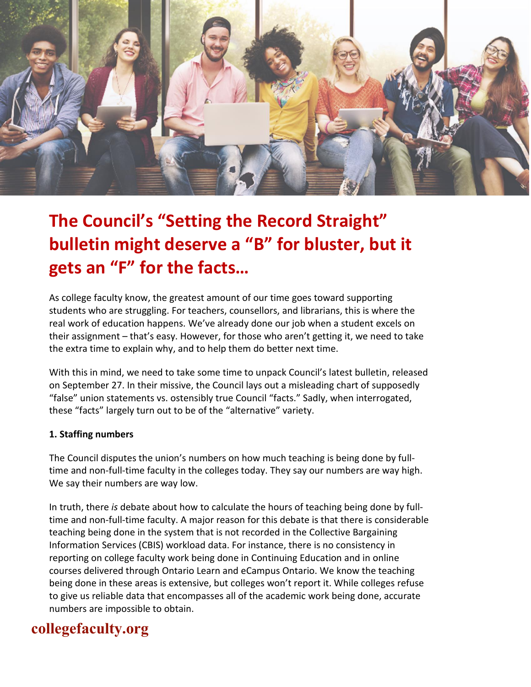

# **The Council's "Setting the Record Straight" bulletin might deserve a "B" for bluster, but it gets an "F" for the facts…**

As college faculty know, the greatest amount of our time goes toward supporting students who are struggling. For teachers, counsellors, and librarians, this is where the real work of education happens. We've already done our job when a student excels on their assignment – that's easy. However, for those who aren't getting it, we need to take the extra time to explain why, and to help them do better next time.

With this in mind, we need to take some time to unpack Council's latest bulletin, released on September 27. In their missive, the Council lays out a misleading chart of supposedly "false" union statements vs. ostensibly true Council "facts." Sadly, when interrogated, these "facts" largely turn out to be of the "alternative" variety.

#### **1. Staffing numbers**

The Council disputes the union's numbers on how much teaching is being done by fulltime and non-full-time faculty in the colleges today. They say our numbers are way high. We say their numbers are way low.

In truth, there *is* debate about how to calculate the hours of teaching being done by fulltime and non-full-time faculty. A major reason for this debate is that there is considerable teaching being done in the system that is not recorded in the Collective Bargaining Information Services (CBIS) workload data. For instance, there is no consistency in reporting on college faculty work being done in Continuing Education and in online courses delivered through Ontario Learn and eCampus Ontario. We know the teaching being done in these areas is extensive, but colleges won't report it. While colleges refuse to give us reliable data that encompasses all of the academic work being done, accurate numbers are impossible to obtain.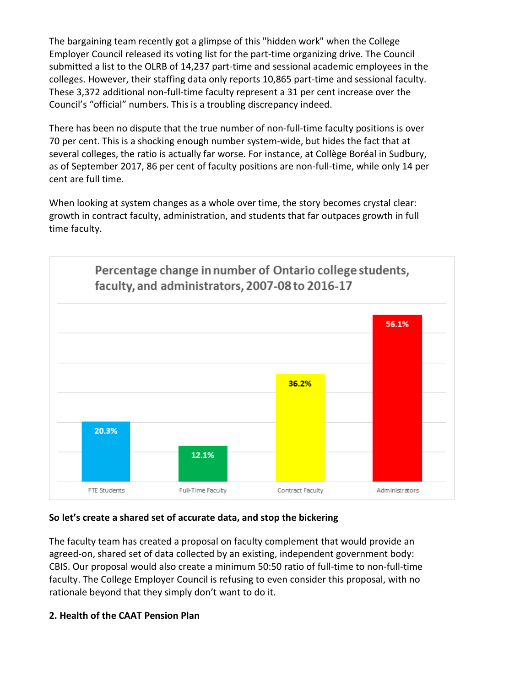The bargaining team recently got a glimpse of this "hidden work" when the College Employer Council released its voting list for the part-time organizing drive. The Council submitted a list to the OLRB of 14,237 part-time and sessional academic employees in the colleges. However, their staffing data only reports 10,865 part-time and sessional faculty. These 3,372 additional non-full-time faculty represent a 31 per cent increase over the Council's "official" numbers. This is a troubling discrepancy indeed.

There has been no dispute that the true number of non-full-time faculty positions is over 70 per cent. This is a shocking enough number system-wide, but hides the fact that at several colleges, the ratio is actually far worse. For instance, at Collège Boréal in Sudbury, as of September 2017, 86 per cent of faculty positions are non-full-time, while only 14 per cent are full time.

When looking at system changes as a whole over time, the story becomes crystal clear: growth in contract faculty, administration, and students that far outpaces growth in full time faculty.



#### **So let's create a shared set of accurate data, and stop the bickering**

The faculty team has created a proposal on faculty complement that would provide an agreed-on, shared set of data collected by an existing, independent government body: CBIS. Our proposal would also create a minimum 50:50 ratio of full-time to non-full-time faculty. The College Employer Council is refusing to even consider this proposal, with no rationale beyond that they simply don't want to do it.

#### **2. Health of the CAAT Pension Plan**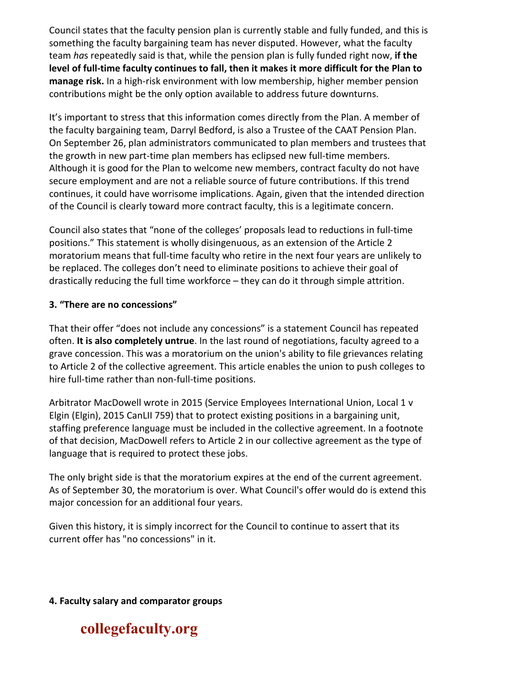Council states that the faculty pension plan is currently stable and fully funded, and this is something the faculty bargaining team has never disputed. However, what the faculty team *ha*s repeatedly said is that, while the pension plan is fully funded right now, **if the level of full-time faculty continues to fall, then it makes it more difficult for the Plan to manage risk.** In a high-risk environment with low membership, higher member pension contributions might be the only option available to address future downturns.

It's important to stress that this information comes directly from the Plan. A member of the faculty bargaining team, Darryl Bedford, is also a Trustee of the CAAT Pension Plan. On September 26, plan administrators communicated to plan members and trustees that the growth in new part-time plan members has eclipsed new full-time members. Although it is good for the Plan to welcome new members, contract faculty do not have secure employment and are not a reliable source of future contributions. If this trend continues, it could have worrisome implications. Again, given that the intended direction of the Council is clearly toward more contract faculty, this is a legitimate concern.

Council also states that "none of the colleges' proposals lead to reductions in full-time positions." This statement is wholly disingenuous, as an extension of the Article 2 moratorium means that full-time faculty who retire in the next four years are unlikely to be replaced. The colleges don't need to eliminate positions to achieve their goal of drastically reducing the full time workforce – they can do it through simple attrition.

#### **3. "There are no concessions"**

That their offer "does not include any concessions" is a statement Council has repeated often. **It is also completely untrue**. In the last round of negotiations, faculty agreed to a grave concession. This was a moratorium on the union's ability to file grievances relating to Article 2 of the collective agreement. This article enables the union to push colleges to hire full-time rather than non-full-time positions.

Arbitrator MacDowell wrote in 2015 (Service Employees International Union, Local 1 v Elgin (Elgin), 2015 CanLII 759) that to protect existing positions in a bargaining unit, staffing preference language must be included in the collective agreement. In a footnote of that decision, MacDowell refers to Article 2 in our collective agreement as the type of language that is required to protect these jobs.

The only bright side is that the moratorium expires at the end of the current agreement. As of September 30, the moratorium is over. What Council's offer would do is extend this major concession for an additional four years.

Given this history, it is simply incorrect for the Council to continue to assert that its current offer has "no concessions" in it.

**4. Faculty salary and comparator groups**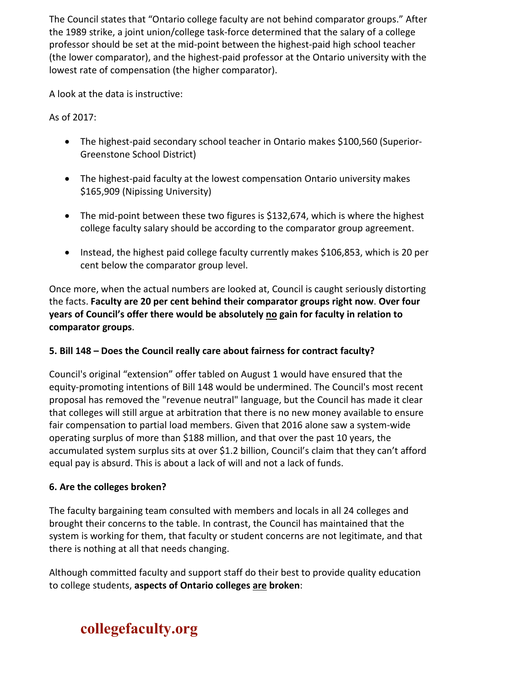The Council states that "Ontario college faculty are not behind comparator groups." After the 1989 strike, a joint union/college task-force determined that the salary of a college professor should be set at the mid-point between the highest-paid high school teacher (the lower comparator), and the highest-paid professor at the Ontario university with the lowest rate of compensation (the higher comparator).

A look at the data is instructive:

As of 2017:

- The highest-paid secondary school teacher in Ontario makes \$100,560 (Superior-Greenstone School District)
- The highest-paid faculty at the lowest compensation Ontario university makes \$165,909 (Nipissing University)
- The mid-point between these two figures is \$132,674, which is where the highest college faculty salary should be according to the comparator group agreement.
- Instead, the highest paid college faculty currently makes \$106,853, which is 20 per cent below the comparator group level.

Once more, when the actual numbers are looked at, Council is caught seriously distorting the facts. **Faculty are 20 per cent behind their comparator groups right now**. **Over four years of Council's offer there would be absolutely no gain for faculty in relation to comparator groups**.

#### **5. Bill 148 – Does the Council really care about fairness for contract faculty?**

Council's original "extension" offer tabled on August 1 would have ensured that the equity-promoting intentions of Bill 148 would be undermined. The Council's most recent proposal has removed the "revenue neutral" language, but the Council has made it clear that colleges will still argue at arbitration that there is no new money available to ensure fair compensation to partial load members. Given that 2016 alone saw a system-wide operating surplus of more than \$188 million, and that over the past 10 years, the accumulated system surplus sits at over \$1.2 billion, Council's claim that they can't afford equal pay is absurd. This is about a lack of will and not a lack of funds.

#### **6. Are the colleges broken?**

The faculty bargaining team consulted with members and locals in all 24 colleges and brought their concerns to the table. In contrast, the Council has maintained that the system is working for them, that faculty or student concerns are not legitimate, and that there is nothing at all that needs changing.

Although committed faculty and support staff do their best to provide quality education to college students, **aspects of Ontario colleges are broken**: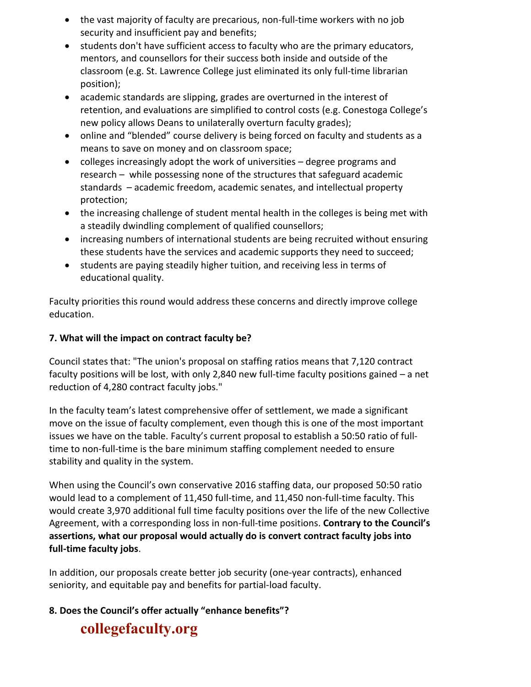- the vast majority of faculty are precarious, non-full-time workers with no job security and insufficient pay and benefits;
- students don't have sufficient access to faculty who are the primary educators, mentors, and counsellors for their success both inside and outside of the classroom (e.g. St. Lawrence College just eliminated its only full-time librarian position);
- academic standards are slipping, grades are overturned in the interest of retention, and evaluations are simplified to control costs (e.g. Conestoga College's new policy allows Deans to unilaterally overturn faculty grades);
- online and "blended" course delivery is being forced on faculty and students as a means to save on money and on classroom space;
- colleges increasingly adopt the work of universities degree programs and research – while possessing none of the structures that safeguard academic standards – academic freedom, academic senates, and intellectual property protection;
- the increasing challenge of student mental health in the colleges is being met with a steadily dwindling complement of qualified counsellors;
- increasing numbers of international students are being recruited without ensuring these students have the services and academic supports they need to succeed;
- students are paying steadily higher tuition, and receiving less in terms of educational quality.

Faculty priorities this round would address these concerns and directly improve college education.

#### **7. What will the impact on contract faculty be?**

Council states that: "The union's proposal on staffing ratios means that 7,120 contract faculty positions will be lost, with only 2,840 new full-time faculty positions gained – a net reduction of 4,280 contract faculty jobs."

In the faculty team's latest comprehensive offer of settlement, we made a significant move on the issue of faculty complement, even though this is one of the most important issues we have on the table. Faculty's current proposal to establish a 50:50 ratio of fulltime to non-full-time is the bare minimum staffing complement needed to ensure stability and quality in the system.

When using the Council's own conservative 2016 staffing data, our proposed 50:50 ratio would lead to a complement of 11,450 full-time, and 11,450 non-full-time faculty. This would create 3,970 additional full time faculty positions over the life of the new Collective Agreement, with a corresponding loss in non-full-time positions. **Contrary to the Council's assertions, what our proposal would actually do is convert contract faculty jobs into full-time faculty jobs**.

In addition, our proposals create better job security (one-year contracts), enhanced seniority, and equitable pay and benefits for partial-load faculty.

#### **8. Does the Council's offer actually "enhance benefits"?**